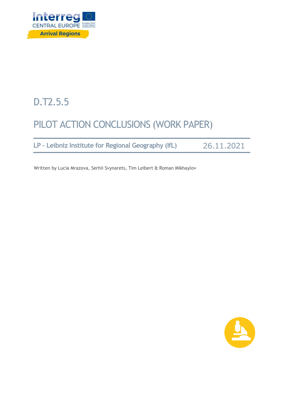

# D.T2.5.5

# PILOT ACTION CONCLUSIONS (WORK PAPER)

**LP – Leibniz Institute for Regional Geography (IfL)** 26.11.2021

Written by Lucia Mrazova, Serhii Svynarets, Tim Leibert & Roman Mikhaylov

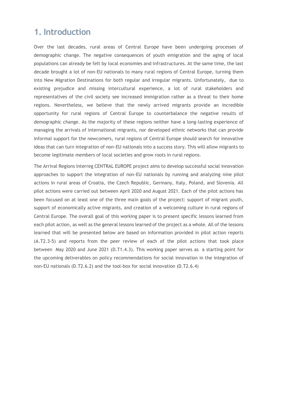### **1. Introduction**

Over the last decades, rural areas of Central Europe have been undergoing processes of demographic change. The negative consequences of youth emigration and the aging of local populations can already be felt by local economies and infrastructures. At the same time, the last decade brought a lot of non-EU nationals to many rural regions of Central Europe, turning them into New Migration Destinations for both regular and irregular migrants. Unfortunately, due to existing prejudice and missing intercultural experience, a lot of rural stakeholders and representatives of the civil society see increased immigration rather as a threat to their home regions. Nevertheless, we believe that the newly arrived migrants provide an incredible opportunity for rural regions of Central Europe to counterbalance the negative results of demographic change. As the majority of these regions neither have a long-lasting experience of managing the arrivals of international migrants, nor developed ethnic networks that can provide informal support for the newcomers, rural regions of Central Europe should search for innovative ideas that can turn integration of non-EU nationals into a success story. This will allow migrants to become legitimate members of local societies and grow roots in rural regions.

The Arrival Regions Interreg CENTRAL EUROPE project aims to develop successful social innovation approaches to support the integration of non-EU nationals by running and analyzing nine pilot actions in rural areas of Croatia, the Czech Republic, Germany, Italy, Poland, and Slovenia. All pilot actions were carried out between April 2020 and August 2021. Each of the pilot actions has been focused on at least one of the three main goals of the project: support of migrant youth, support of economically active migrants, and creation of a welcoming culture in rural regions of Central Europe. The overall goal of this working paper is to present specific lessons learned from each pilot action, as well as the general lessons learned of the project as a whole. All of the lessons learned that will be presented below are based on information provided in pilot action reports (A.T2.3-5) and reports from the peer review of each of the pilot actions that took place between May 2020 and June 2021 (D.T1.4.3). This working paper serves as a starting point for the upcoming deliverables on policy recommendations for social innovation in the integration of non-EU nationals (D.T2.6.2) and the tool-box for social innovation (D.T2.6.4)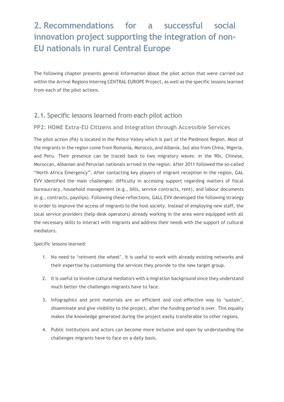## **2. Recommendations for a successful social innovation project supporting the integration of non-EU nationals in rural Central Europe**

The following chapter presents general information about the pilot action that were carried out within the Arrival Regions Interreg CENTRAL EUROPE Project, as well as the specific lessons learned from each of the pilot actions.

### **2.1. Specific lessons learned from each pilot action**

#### **PP2: HOME Extra-EU Citizens and Integration through Accessible Services**

The pilot action (PA) is located in the Pelice Valley which is part of the Piedmont Region. Most of the migrants in the region come from Romania, Morocco, and Albania, but also from China, Nigeria, and Peru. Their presence can be traced back to two migratory waves: in the 90s, Chinese, Moroccan, Albanian and Peruvian nationals arrived in the region. After 2011 followed the so-called "North Africa Emergency". After contacting key players of migrant reception in the region, GAL EVV identified the main challenges: difficulty in accessing support regarding matters of fiscal bureaucracy, household management (e.g., bills, service contracts, rent), and labour documents (e.g., contracts, payslips). Following these reflections, GALL EVV developed the following strategy in order to improve the access of migrants to the host society. Instead of employing new staff, the local service providers (help-desk operators) already working in the area were equipped with all the necessary skills to interact with migrants and address their needs with the support of cultural mediators.

- 1. No need to 'reinvent the wheel'. It is useful to work with already existing networks and their expertise by customising the services they provide to the new target group.
- 2. It is useful to involve cultural mediators with a migration background since they understand much better the challenges migrants have to face.
- 3. Infographics and print materials are an efficient and cost-effective way to 'sustain', disseminate and give visibility to the project, after the funding period is over. This equally makes the knowledge generated during the project easily transferable to other regions.
- 4. Public institutions and actors can become more inclusive and open by understanding the challenges migrants have to face on a daily basis.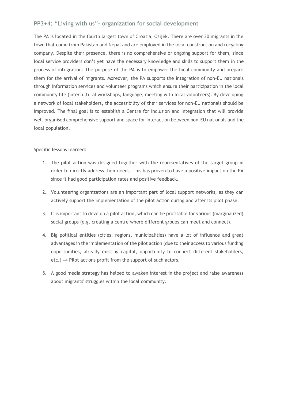#### **PP3+4: "Living with us"- organization for social development**

The PA is located in the fourth largest town of Croatia, Osijek. There are over 30 migrants in the town that come from Pakistan and Nepal and are employed in the local construction and recycling company. Despite their presence, there is no comprehensive or ongoing support for them, since local service providers don't yet have the necessary knowledge and skills to support them in the process of integration. The purpose of the PA is to empower the local community and prepare them for the arrival of migrants. Moreover, the PA supports the integration of non-EU nationals through information services and volunteer programs which ensure their participation in the local community life (intercultural workshops, language, meeting with local volunteers). By developing a network of local stakeholders, the accessibility of their services for non-EU nationals should be improved. The final goal is to establish a Centre for Inclusion and Integration that will provide well-organised comprehensive support and space for interaction between non-EU nationals and the local population.

- 1. The pilot action was designed together with the representatives of the target group in order to directly address their needs. This has proven to have a positive impact on the PA since it had good participation rates and positive feedback.
- 2. Volunteering organizations are an important part of local support networks, as they can actively support the implementation of the pilot action during and after its pilot phase.
- 3. It is important to develop a pilot action, which can be profitable for various (marginalized) social groups (e.g. creating a centre where different groups can meet and connect).
- 4. Big political entities (cities, regions, municipalities) have a lot of influence and great advantages in the implementation of the pilot action (due to their access to various funding opportunities, already existing capital, opportunity to connect different stakeholders, etc.)  $\rightarrow$  Pilot actions profit from the support of such actors.
- 5. A good media strategy has helped to awaken interest in the project and raise awareness about migrants' struggles within the local community.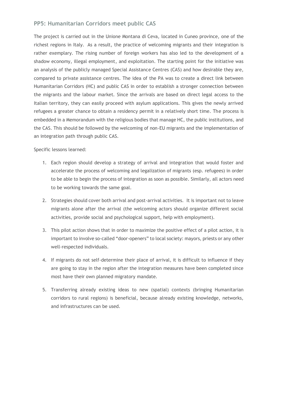#### **PP5: Humanitarian Corridors meet public CAS**

The project is carried out in the Unione Montana di Ceva, located in Cuneo province, one of the richest regions in Italy. As a result, the practice of welcoming migrants and their integration is rather exemplary. The rising number of foreign workers has also led to the development of a shadow economy, illegal employment, and exploitation. The starting point for the initiative was an analysis of the publicly managed Special Assistance Centres (CAS) and how desirable they are, compared to private assistance centres. The idea of the PA was to create a direct link between Humanitarian Corridors (HC) and public CAS in order to establish a stronger connection between the migrants and the labour market. Since the arrivals are based on direct legal access to the Italian territory, they can easily proceed with asylum applications. This gives the newly arrived refugees a greater chance to obtain a residency permit in a relatively short time. The process is embedded in a Memorandum with the religious bodies that manage HC, the public institutions, and the CAS. This should be followed by the welcoming of non-EU migrants and the implementation of an integration path through public CAS.

- 1. Each region should develop a strategy of arrival and integration that would foster and accelerate the process of welcoming and legalization of migrants (esp. refugees) in order to be able to begin the process of integration as soon as possible. Similarly, all actors need to be working towards the same goal.
- 2. Strategies should cover both arrival and post-arrival activities. It is important not to leave migrants alone after the arrival (the welcoming actors should organize different social activities, provide social and psychological support, help with employment).
- 3. This pilot action shows that in order to maximize the positive effect of a pilot action, it is important to involve so-called "door-openers" to local society: mayors, priests or any other well-respected individuals.
- 4. If migrants do not self-determine their place of arrival, it is difficult to influence if they are going to stay in the region after the integration measures have been completed since most have their own planned migratory mandate.
- 5. Transferring already existing ideas to new (spatial) contexts (bringing Humanitarian corridors to rural regions) is beneficial, because already existing knowledge, networks, and infrastructures can be used.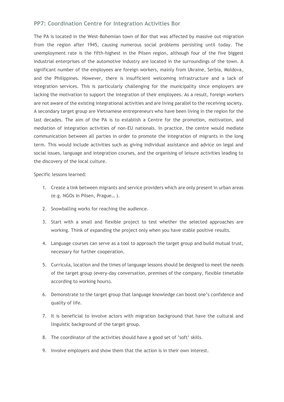#### **PP7: Coordination Centre for Integration Activities Bor**

The PA is located in the West-Bohemian town of Bor that was affected by massive out-migration from the region after 1945, causing numerous social problems persisting until today. The unemployment rate is the fifth-highest in the Pilsen region, although four of the five biggest industrial enterprises of the automotive industry are located in the surroundings of the town. A significant number of the employees are foreign workers, mainly from Ukraine, Serbia, Moldova, and the Philippines. However, there is insufficient welcoming infrastructure and a lack of integration services. This is particularly challenging for the municipality since employers are lacking the motivation to support the integration of their employees. As a result, foreign workers are not aware of the existing integrational activities and are living parallel to the receiving society. A secondary target group are Vietnamese entrepreneurs who have been living in the region for the last decades. The aim of the PA is to establish a Centre for the promotion, motivation, and mediation of integration activities of non-EU nationals. In practice, the centre would mediate communication between all parties in order to promote the integration of migrants in the long term. This would include activities such as giving individual assistance and advice on legal and social issues, language and integration courses, and the organising of leisure activities leading to the discovery of the local culture.

- 1. Create a link between migrants and service providers which are only present in urban areas (e.g. NGOs in Pilsen, Prague… ).
- 2. Snowballing works for reaching the audience.
- 3. Start with a small and flexible project to test whether the selected approaches are working. Think of expanding the project only when you have stable positive results.
- 4. Language courses can serve as a tool to approach the target group and build mutual trust, necessary for further cooperation.
- 5. Curricula, location and the times of language lessons should be designed to meet the needs of the target group (every-day conversation, premises of the company, flexible timetable according to working hours).
- 6. Demonstrate to the target group that language knowledge can boost one's confidence and quality of life.
- 7. It is beneficial to involve actors with migration background that have the cultural and linguistic background of the target group.
- 8. The coordinator of the activities should have a good set of 'soft' skills.
- 9. Involve employers and show them that the action is in their own interest.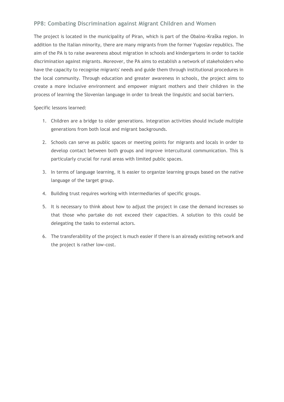#### **PP8: Combating Discrimination against Migrant Children and Women**

The project is located in the municipality of Piran, which is part of the Obalno-Kraška region. In addition to the Italian minority, there are many migrants from the former Yugoslav republics. The aim of the PA is to raise awareness about migration in schools and kindergartens in order to tackle discrimination against migrants. Moreover, the PA aims to establish a network of stakeholders who have the capacity to recognise migrants' needs and guide them through institutional procedures in the local community. Through education and greater awareness in schools, the project aims to create a more inclusive environment and empower migrant mothers and their children in the process of learning the Slovenian language in order to break the linguistic and social barriers.

- 1. Children are a bridge to older generations. Integration activities should include multiple generations from both local and migrant backgrounds.
- 2. Schools can serve as public spaces or meeting points for migrants and locals in order to develop contact between both groups and improve intercultural communication. This is particularly crucial for rural areas with limited public spaces.
- 3. In terms of language learning, it is easier to organize learning groups based on the native language of the target group.
- 4. Building trust requires working with intermediaries of specific groups.
- 5. It is necessary to think about how to adjust the project in case the demand increases so that those who partake do not exceed their capacities. A solution to this could be delegating the tasks to external actors.
- 6. The transferability of the project is much easier if there is an already existing network and the project is rather low-cost.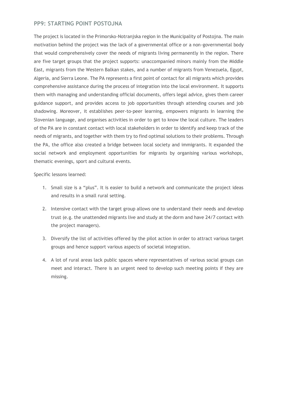#### **PP9: STARTING POINT POSTOJNA**

The project is located in the Primorsko-Notranjska region in the Municipality of Postojna. The main motivation behind the project was the lack of a governmental office or a non-governmental body that would comprehensively cover the needs of migrants living permanently in the region. There are five target groups that the project supports: unaccompanied minors mainly from the Middle East, migrants from the Western Balkan stakes, and a number of migrants from Venezuela, Egypt, Algeria, and Sierra Leone. The PA represents a first point of contact for all migrants which provides comprehensive assistance during the process of integration into the local environment. It supports them with managing and understanding official documents, offers legal advice, gives them career guidance support, and provides access to job opportunities through attending courses and job shadowing. Moreover, it establishes peer-to-peer learning, empowers migrants in learning the Slovenian language, and organises activities in order to get to know the local culture. The leaders of the PA are in constant contact with local stakeholders in order to identify and keep track of the needs of migrants, and together with them try to find optimal solutions to their problems. Through the PA, the office also created a bridge between local society and immigrants. It expanded the social network and employment opportunities for migrants by organising various workshops, thematic evenings, sport and cultural events.

- 1. Small size is a "plus". It is easier to build a network and communicate the project ideas and results in a small rural setting.
- 2. Intensive contact with the target group allows one to understand their needs and develop trust (e.g. the unattended migrants live and study at the dorm and have 24/7 contact with the project managers).
- 3. Diversify the list of activities offered by the pilot action in order to attract various target groups and hence support various aspects of societal integration.
- 4. A lot of rural areas lack public spaces where representatives of various social groups can meet and interact. There is an urgent need to develop such meeting points if they are missing.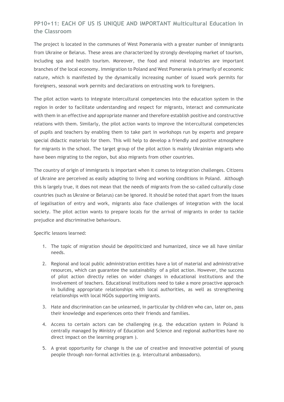#### **PP10+11: EACH OF US IS UNIQUE AND IMPORTANT Multicultural Education in the Classroom**

The project is located in the communes of West Pomerania with a greater number of immigrants from Ukraine or Belarus. These areas are characterized by strongly developing market of tourism, including spa and health tourism. Moreover, the food and mineral industries are important branches of the local economy. Immigration to Poland and West Pomerania is primarily of economic nature, which is manifested by the dynamically increasing number of issued work permits for foreigners, seasonal work permits and declarations on entrusting work to foreigners.

The pilot action wants to integrate intercultural competencies into the education system in the region in order to facilitate understanding and respect for migrants, interact and communicate with them in an effective and appropriate manner and therefore establish positive and constructive relations with them. Similarly, the pilot action wants to improve the intercultural competencies of pupils and teachers by enabling them to take part in workshops run by experts and prepare special didactic materials for them. This will help to develop a friendly and positive atmosphere for migrants in the school. The target group of the pilot action is mainly Ukrainian migrants who have been migrating to the region, but also migrants from other countries.

The country of origin of immigrants is important when it comes to integration challenges. Citizens of Ukraine are perceived as easily adapting to living and working conditions in Poland. Although this is largely true, it does not mean that the needs of migrants from the so-called culturally close countries (such as Ukraine or Belarus) can be ignored. It should be noted that apart from the issues of legalisation of entry and work, migrants also face challenges of integration with the local society. The pilot action wants to prepare locals for the arrival of migrants in order to tackle prejudice and discriminative behaviours.

- 1. The topic of migration should be depoliticized and humanized, since we all have similar needs.
- 2. Regional and local public administration entities have a lot of material and administrative resources, which can guarantee the sustainabilty of a pilot action. However, the success of pilot action directly relies on wider changes in educational institutions and the involvement of teachers. Educational institutions need to take a more proactive approach in building appropriate relationships with local authorities, as well as strengthening relationships with local NGOs supporting imigrants.
- 3. Hate and discrimination can be unlearned, in particular by children who can, later on, pass their knowledge and experiences onto their friends and families.
- 4. Access to certain actors can be challenging (e.g. the education system in Poland is centrally managed by Ministry of Education and Science and regional authorities have no direct impact on the learning program ).
- 5. A great opportunity for change is the use of creative and innovative potential of young people through non-formal activities (e.g. intercultural ambassadors).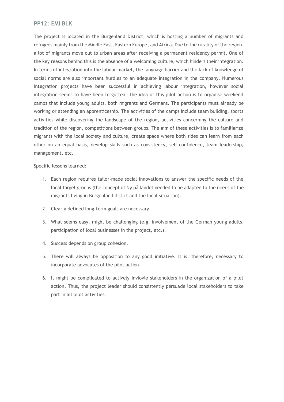#### **PP12: EMI BLK**

The project is located in the Burgenland District, which is hosting a number of migrants and refugees mainly from the Middle East, Eastern Europe, and Africa. Due to the rurality of the region, a lot of migrants move out to urban areas after receiving a permanent residency permit. One of the key reasons behind this is the absence of a welcoming culture, which hinders their integration. In terms of integration into the labour market, the language barrier and the lack of knowledge of social norms are also important hurdles to an adequate integration in the company. Numerous integration projects have been successful in achieving labour integration, however social integration seems to have been forgotten. The idea of this pilot action is to organise weekend camps that include young adults, both migrants and Germans. The participants must already be working or attending an apprenticeship. The activities of the camps include team building, sports activities while discovering the landscape of the region, activities concerning the culture and tradition of the region, competitions between groups. The aim of these activities is to familiarize migrants with the local society and culture, create space where both sides can learn from each other on an equal basis, develop skills such as consistency, self-confidence, team leadership, management, etc.

- 1. Each region requires tailor-made social innovations to answer the specific needs of the local target groups (the concept of Ny på landet needed to be adapted to the needs of the migrants living in Burgenland distict and the local situation).
- 2. Clearly defined long-term goals are necessary.
- 3. What seems easy, might be challenging (e.g. involvement of the German young adults, participation of local businesses in the project, etc.).
- 4. Success depends on group cohesion.
- 5. There will always be opposition to any good initiative. It is, therefore, necessary to incorporate advocates of the pilot action.
- 6. It might be complicated to actively invlovle stakeholders in the organization of a pilot action. Thus, the project leader should consistently persuade local stakeholders to take part in all pilot activities.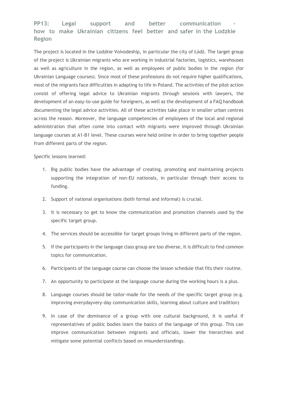#### **PP13:** Legal support and better communication **how to make Ukrainian citizens feel better and safer in the Lodzkie Region**

The project is located in the Lodzkie Voivodeship, in particular the city of Łódź. The target group of the project is Ukrainian migrants who are working in industrial factories, logistics, warehouses as well as agriculture in the region, as well as employees of public bodies in the region (for Ukrainian Language courses). Since most of these professions do not require higher qualifications, most of the migrants face difficulties in adapting to life in Poland. The activities of the pilot action consist of offering legal advice to Ukrainian migrants through sessions with lawyers, the development of an easy-to-use guide for foreigners, as well as the development of a FAQ handbook documenting the legal advice activities. All of these activities take place in smaller urban centres across the reason. Moreover, the language competencies of employees of the local and regional administration that often come into contact with migrants were improved through Ukrainian language courses at A1-B1 level. These courses were held online in order to bring together people from different parts of the region.

- 1. Big public bodies have the advantage of creating, promoting and maintaining projects supporting the integration of non-EU nationals, in particular through their access to funding.
- 2. Support of national organisations (both formal and informal) is crucial.
- 3. It is necessary to get to know the communication and promotion channels used by the specific target group.
- 4. The services should be accessible for target groups living in different parts of the region.
- 5. If the participants in the language class group are too diverse, it is difficult to find common topics for communication.
- 6. Participants of the language course can choose the lesson schedule that fits their routine.
- 7. An opportunity to participate at the language course during the working hours is a plus.
- 8. Language courses should be tailor-made for the needs of the specific target group (e.g. improving everydayvery-day communication skills, learning about culture and tradition)
- 9. In case of the dominance of a group with one cultural background, it is useful if representatives of public bodies learn the basics of the language of this group. This can improve communication between migrants and officials, lower the hierarchies and mitigate some potential conflicts based on misunderstandings.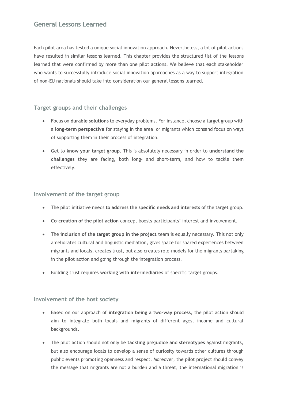### **General Lessons Learned**

Each pilot area has tested a unique social innovation approach. Nevertheless, a lot of pilot actions have resulted in similar lessons learned. This chapter provides the structured list of the lessons learned that were confirmed by more than one pilot actions. We believe that each stakeholder who wants to successfully introduce social innovation approaches as a way to support integration of non-EU nationals should take into consideration our general lessons learned.

#### **Target groups and their challenges**

- Focus on **durable solutions** to everyday problems. For instance, choose a target group with a **long-term perspective** for staying in the area or migrants which consand focus on ways of supporting them in their process of integration.
- Get to **know your target group**. This is absolutely necessary in order to **understand the challenges** they are facing, both long- and short-term, and how to tackle them effectively.

#### **Involvement of the target group**

- The pilot initiative needs **to address the specific needs and interests** of the target group.
- **Co-creation of the pilot action** concept boosts participants' interest and involvement.
- The **inclusion of the target group in the project** team is equally necessary. This not only ameliorates cultural and linguistic mediation, gives space for shared experiences between migrants and locals, creates trust, but also creates role-models for the migrants partaking in the pilot action and going through the integration process.
- Building trust requires **working with intermediaries** of specific target groups.

#### **Involvement of the host society**

- Based on our approach of **integration being a two-way process**, the pilot action should aim to integrate both locals and migrants of different ages, income and cultural backgrounds.
- The pilot action should not only be **tackling prejudice and stereotypes** against migrants, but also encourage locals to develop a sense of curiosity towards other cultures through public events promoting openness and respect. Moreover, the pilot project should convey the message that migrants are not a burden and a threat, the international migration is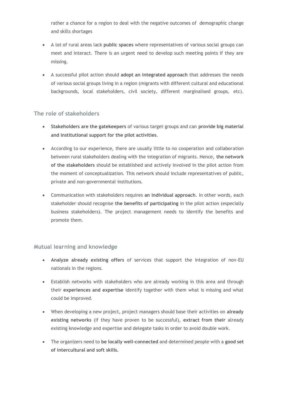rather a chance for a region to deal with the negative outcomes of demographic change and skills shortages

- A lot of rural areas lack **public spaces** where representatives of various social groups can meet and interact. There is an urgent need to develop such meeting points if they are missing.
- A successful pilot action should **adopt an integrated approach** that addresses the needs of various social groups living in a region (migrants with different cultural and educational backgrounds, local stakeholders, civil society, different marginalised groups, etc).

#### **The role of stakeholders**

- **Stakeholders are the gatekeepers** of various target groups and can **provide big material and institutional support for the pilot activities**.
- According to our experience, there are usually little to no cooperation and collaboration between rural stakeholders dealing with the integration of migrants. Hence, **the network of the stakeholders** should be established and actively involved in the pilot action from the moment of conceptualization. This network should include representatives of public, private and non-governmental institutions.
- Communication with stakeholders requires **an individual approach**. In other words, each stakeholder should recognise **the benefits of participating** in the pilot action (especially business stakeholders). The project management needs to identify the benefits and promote them.

#### **Mutual learning and knowledge**

- **Analyze already existing offers** of services that support the integration of non-EU nationals in the regions.
- Establish networks with stakeholders who are already working in this area and through their **experiences and expertise** identify together with them what is missing and what could be improved.
- When developing a new project, project managers should base their activities on **already existing networks** (if they have proven to be successful), **extract from their** already existing knowledge and expertise and delegate tasks in order to avoid double work.
- The organizers need to **be locally well-connected** and determined people with a **good set of intercultural and soft skills.**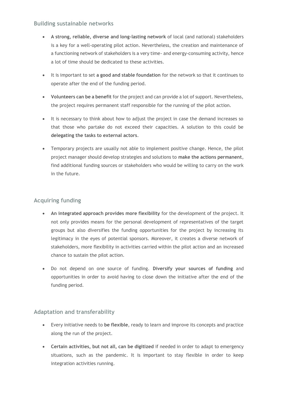#### **Building sustainable networks**

- **A strong, reliable, diverse and long-lasting network** of local (and national) stakeholders is a key for a well-operating pilot action. Nevertheless, the creation and maintenance of a functioning network of stakeholders is a very time- and energy-consuming activity, hence a lot of time should be dedicated to these activities.
- It is important to set **a good and stable foundation** for the network so that it continues to operate after the end of the funding period.
- **Volunteers can be a benefit** for the project and can provide a lot of support. Nevertheless, the project requires permanent staff responsible for the running of the pilot action.
- It is necessary to think about how to adjust the project in case the demand increases so that those who partake do not exceed their capacities. A solution to this could be **delegating the tasks to external actors**.
- Temporary projects are usually not able to implement positive change. Hence, the pilot project manager should develop strategies and solutions to **make the actions permanent**, find additional funding sources or stakeholders who would be willing to carry on the work in the future.

#### **Acquiring funding**

- **An integrated approach provides more flexibility** for the development of the project. It not only provides means for the personal development of representatives of the target groups but also diversifies the funding opportunities for the project by increasing its legitimacy in the eyes of potential sponsors. Moreover, it creates a diverse network of stakeholders, more flexibility in activities carried within the pilot action and an increased chance to sustain the pilot action.
- Do not depend on one source of funding. **Diversify your sources of funding** and opportunities in order to avoid having to close down the initiative after the end of the funding period.

#### **Adaptation and transferability**

- Every initiative needs to **be flexible**, ready to learn and improve its concepts and practice along the run of the project.
- **Certain activities, but not all, can be digitized** if needed in order to adapt to emergency situations, such as the pandemic. It is important to stay flexible in order to keep integration activities running.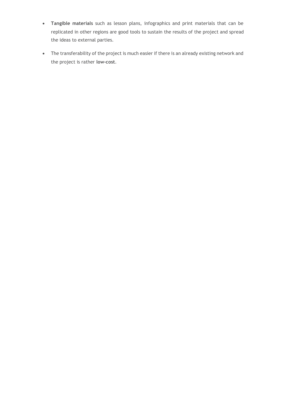- **Tangible materials** such as lesson plans, infographics and print materials that can be replicated in other regions are good tools to sustain the results of the project and spread the ideas to external parties.
- The transferability of the project is much easier if there is an already existing network and the project is rather **low-cost**.